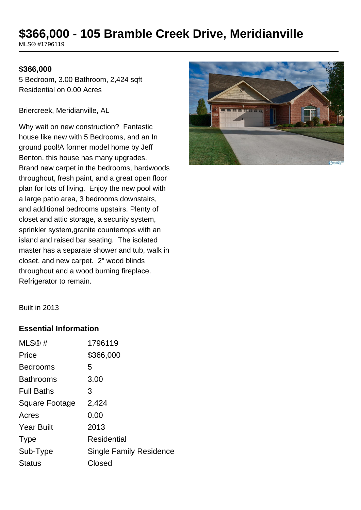# **\$366,000 - 105 Bramble Creek Drive, Meridianville**

MLS® #1796119

#### **\$366,000**

5 Bedroom, 3.00 Bathroom, 2,424 sqft Residential on 0.00 Acres

Briercreek, Meridianville, AL

Why wait on new construction? Fantastic house like new with 5 Bedrooms, and an In ground pool!A former model home by Jeff Benton, this house has many upgrades. Brand new carpet in the bedrooms, hardwoods throughout, fresh paint, and a great open floor plan for lots of living. Enjoy the new pool with a large patio area, 3 bedrooms downstairs, and additional bedrooms upstairs. Plenty of closet and attic storage, a security system, sprinkler system,granite countertops with an island and raised bar seating. The isolated master has a separate shower and tub, walk in closet, and new carpet. 2" wood blinds throughout and a wood burning fireplace. Refrigerator to remain.



Built in 2013

#### **Essential Information**

| MLS@#             | 1796119                 |
|-------------------|-------------------------|
| Price             | \$366,000               |
| <b>Bedrooms</b>   | 5                       |
| <b>Bathrooms</b>  | 3.00                    |
| <b>Full Baths</b> | 3                       |
| Square Footage    | 2,424                   |
| Acres             | 0.00                    |
| <b>Year Built</b> | 2013                    |
| <b>Type</b>       | Residential             |
| Sub-Type          | Single Family Residence |
| <b>Status</b>     | Closed                  |